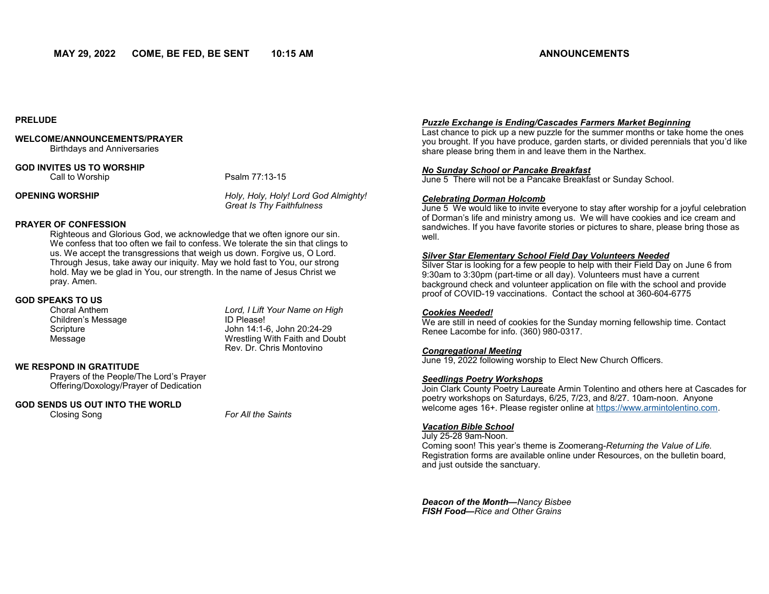### **PRELUDE**

# **WELCOME/ANNOUNCEMENTS/PRAYER**

Birthdays and Anniversaries

# **GOD INVITES US TO WORSHIP**

Call to Worship **Psalm 77:13-15** 

**OPENING WORSHIP** *Holy, Holy, Holy! Lord God Almighty! Great Is Thy Faithfulness* 

# **PRAYER OF CONFESSION**

Righteous and Glorious God, we acknowledge that we often ignore our sin. We confess that too often we fail to confess. We tolerate the sin that clings to us. We accept the transgressions that weigh us down. Forgive us, O Lord. Through Jesus, take away our iniquity. May we hold fast to You, our strong hold. May we be glad in You, our strength. In the name of Jesus Christ we pray. Amen.

# **GOD SPEAKS TO US**

Children's Message **ID Please!** Scripture John 14:1-6, John 20:24-29 Message Wrestling With Faith and Doubt

Lord, I Lift Your Name on High Rev. Dr. Chris Montovino

# **WE RESPOND IN GRATITUDE**

Prayers of the People/The Lord's Prayer Offering/Doxology/Prayer of Dedication

# **GOD SENDS US OUT INTO THE WORLD**

Closing Song *For All the Saints* 

# *Puzzle Exchange is Ending/Cascades Farmers Market Beginning*

Last chance to pick up a new puzzle for the summer months or take home the ones you brought. If you have produce, garden starts, or divided perennials that you'd like share please bring them in and leave them in the Narthex.

#### *No Sunday School or Pancake Breakfast*

June 5 There will not be a Pancake Breakfast or Sunday School.

#### *Celebrating Dorman Holcomb*

June 5 We would like to invite everyone to stay after worship for a joyful celebration of Dorman's life and ministry among us. We will have cookies and ice cream and sandwiches. If you have favorite stories or pictures to share, please bring those as well.

# *Silver Star Elementary School Field Day Volunteers Needed*

Silver Star is looking for a few people to help with their Field Day on June 6 from 9:30am to 3:30pm (part-time or all day). Volunteers must have a current background check and volunteer application on file with the school and provide proof of COVID-19 vaccinations. Contact the school at 360-604-6775

#### *Cookies Needed!*

We are still in need of cookies for the Sunday morning fellowship time. Contact Renee Lacombe for info. (360) 980-0317.

# *Congregational Meeting*

June 19, 2022 following worship to Elect New Church Officers.

# *Seedlings Poetry Workshops*

Join Clark County Poetry Laureate Armin Tolentino and others here at Cascades for poetry workshops on Saturdays, 6/25, 7/23, and 8/27. 10am-noon. Anyone welcome ages 16+. Please register online at [https://www.armintolentino.com.](https://www.armintolentino.com) 

# *Vacation Bible School*

July 25-28 9am-Noon. Coming soon! This year's theme is Zoomerang-*Returning the Value of Life.*  Registration forms are available online under Resources, on the bulletin board, and just outside the sanctuary.

*Deacon of the Month—Nancy Bisbee FISH Food—Rice and Other Grains*